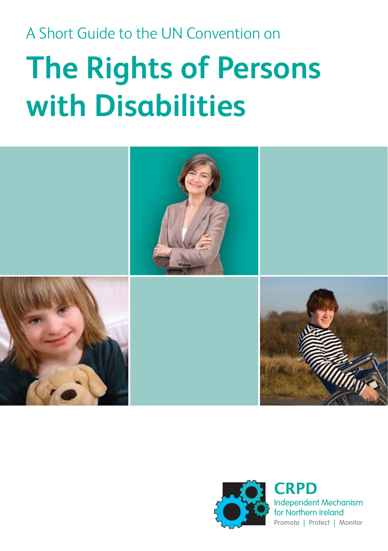A Short Guide to the UN Convention on

# **The Rights of Persons with Disabilities**





**CRPD** Independent Mechanism for Northern Ireland Promote | Protect | Monitor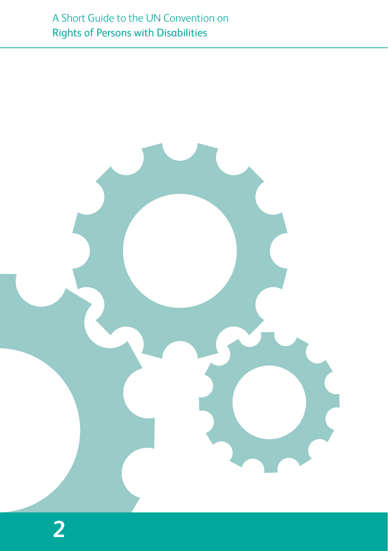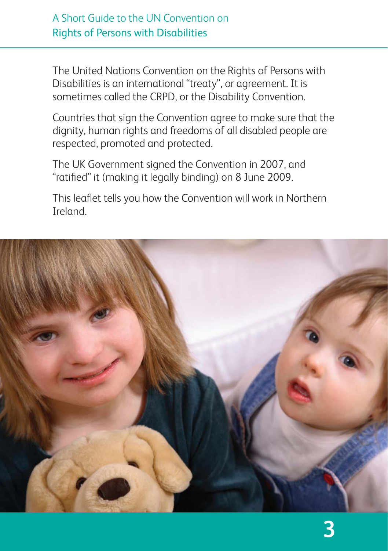A Short Guide to the UN Convention on Rights of Persons with Disabilities

The United Nations Convention on the Rights of Persons with Disabilities is an international "treaty", or agreement. It is sometimes called the CRPD, or the Disability Convention.

Countries that sign the Convention agree to make sure that the dignity, human rights and freedoms of all disabled people are respected, promoted and protected.

The UK Government signed the Convention in 2007, and "ratified" it (making it legally binding) on 8 June 2009.

This leaflet tells you how the Convention will work in Northern Ireland.

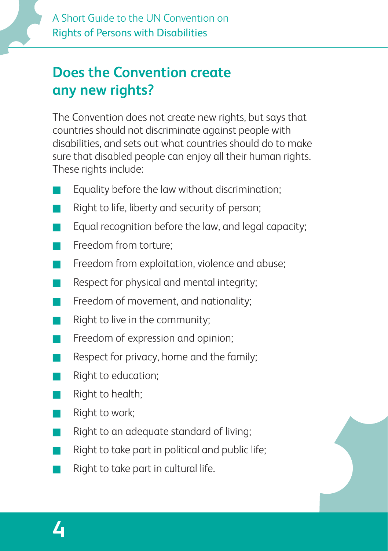# **Does the Convention create any new rights?**

The Convention does not create new rights, but says that countries should not discriminate against people with disabilities, and sets out what countries should do to make sure that disabled people can enjoy all their human rights. These rights include:

- Equality before the law without discrimination;
- Right to life, liberty and security of person;
- Equal recognition before the law, and legal capacity;
- Freedom from torture:
- Freedom from exploitation, violence and abuse;
- Respect for physical and mental integrity;
- Freedom of movement, and nationality;
- Right to live in the community;
- Freedom of expression and opinion;
- Respect for privacy, home and the family;
- Right to education;
- Right to health:
- Right to work;
- Right to an adequate standard of living;
- Right to take part in political and public life;
- Right to take part in cultural life.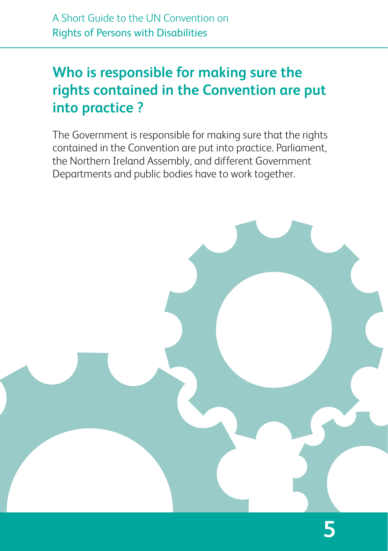# **Who is responsible for making sure the rights contained in the Convention are put into practice ?**

The Government is responsible for making sure that the rights contained in the Convention are put into practice. Parliament, the Northern Ireland Assembly, and different Government Departments and public bodies have to work together.

**5**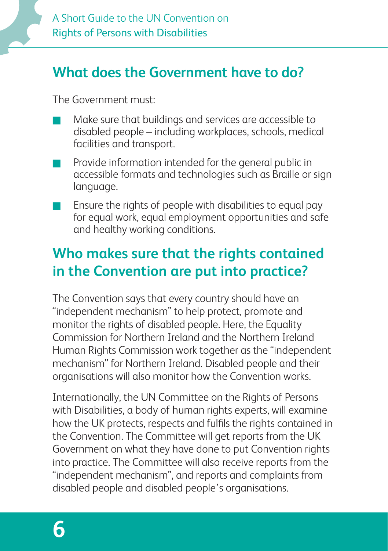### **What does the Government have to do?**

The Government must:

- Make sure that buildings and services are accessible to disabled people – including workplaces, schools, medical facilities and transport.
- Provide information intended for the general public in accessible formats and technologies such as Braille or sign language.
- Ensure the rights of people with disabilities to equal pay for equal work, equal employment opportunities and safe and healthy working conditions.

# **Who makes sure that the rights contained in the Convention are put into practice?**

The Convention says that every country should have an "independent mechanism" to help protect, promote and monitor the rights of disabled people. Here, the Equality Commission for Northern Ireland and the Northern Ireland Human Rights Commission work together as the "independent mechanism" for Northern Ireland. Disabled people and their organisations will also monitor how the Convention works.

Internationally, the UN Committee on the Rights of Persons with Disabilities, a body of human rights experts, will examine how the UK protects, respects and fulfils the rights contained in the Convention. The Committee will get reports from the UK Government on what they have done to put Convention rights into practice. The Committee will also receive reports from the "independent mechanism", and reports and complaints from disabled people and disabled people's organisations.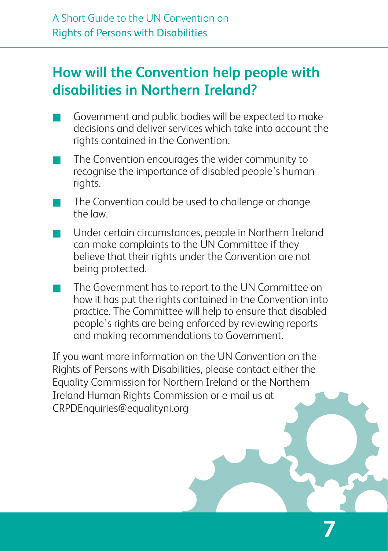### **How will the Convention help people with disabilities in Northern Ireland?**

- Government and public bodies will be expected to make decisions and deliver services which take into account the rights contained in the Convention.
- The Convention encourages the wider community to recognise the importance of disabled people's human rights.
- The Convention could be used to challenge or change the law.
- Under certain circumstances, people in Northern Ireland can make complaints to the UN Committee if they believe that their rights under the Convention are not being protected.
- The Government has to report to the UN Committee on how it has put the rights contained in the Convention into practice. The Committee will help to ensure that disabled people's rights are being enforced by reviewing reports and making recommendations to Government.

If you want more information on the UN Convention on the Rights of Persons with Disabilities, please contact either the Equality Commission for Northern Ireland or the Northern Ireland Human Rights Commission or e-mail us at CRPDEnquiries@equalityni.org

**7**